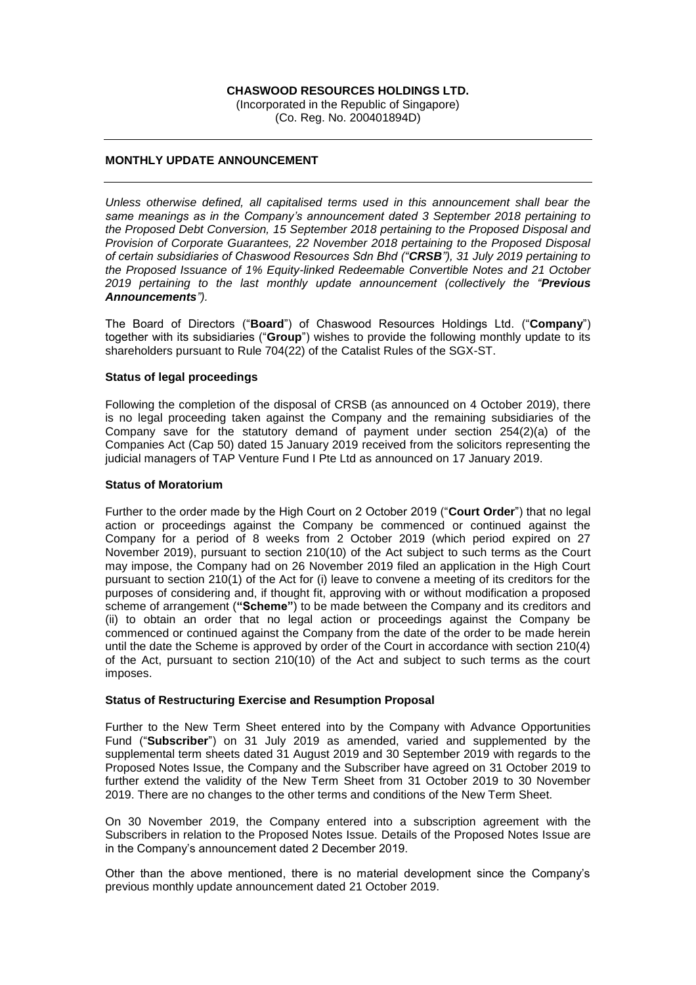## **CHASWOOD RESOURCES HOLDINGS LTD.**

(Incorporated in the Republic of Singapore) (Co. Reg. No. 200401894D)

# **MONTHLY UPDATE ANNOUNCEMENT**

*Unless otherwise defined, all capitalised terms used in this announcement shall bear the same meanings as in the Company's announcement dated 3 September 2018 pertaining to the Proposed Debt Conversion, 15 September 2018 pertaining to the Proposed Disposal and Provision of Corporate Guarantees, 22 November 2018 pertaining to the Proposed Disposal of certain subsidiaries of Chaswood Resources Sdn Bhd ("CRSB"), 31 July 2019 pertaining to the Proposed Issuance of 1% Equity-linked Redeemable Convertible Notes and 21 October 2019 pertaining to the last monthly update announcement (collectively the "Previous Announcements").*

The Board of Directors ("**Board**") of Chaswood Resources Holdings Ltd. ("**Company**") together with its subsidiaries ("**Group**") wishes to provide the following monthly update to its shareholders pursuant to Rule 704(22) of the Catalist Rules of the SGX-ST.

### **Status of legal proceedings**

Following the completion of the disposal of CRSB (as announced on 4 October 2019), there is no legal proceeding taken against the Company and the remaining subsidiaries of the Company save for the statutory demand of payment under section 254(2)(a) of the Companies Act (Cap 50) dated 15 January 2019 received from the solicitors representing the judicial managers of TAP Venture Fund I Pte Ltd as announced on 17 January 2019.

### **Status of Moratorium**

Further to the order made by the High Court on 2 October 2019 ("**Court Order**") that no legal action or proceedings against the Company be commenced or continued against the Company for a period of 8 weeks from 2 October 2019 (which period expired on 27 November 2019), pursuant to section 210(10) of the Act subject to such terms as the Court may impose, the Company had on 26 November 2019 filed an application in the High Court pursuant to section 210(1) of the Act for (i) leave to convene a meeting of its creditors for the purposes of considering and, if thought fit, approving with or without modification a proposed scheme of arrangement (**"Scheme"**) to be made between the Company and its creditors and (ii) to obtain an order that no legal action or proceedings against the Company be commenced or continued against the Company from the date of the order to be made herein until the date the Scheme is approved by order of the Court in accordance with section 210(4) of the Act, pursuant to section 210(10) of the Act and subject to such terms as the court imposes.

## **Status of Restructuring Exercise and Resumption Proposal**

Further to the New Term Sheet entered into by the Company with Advance Opportunities Fund ("**Subscriber**") on 31 July 2019 as amended, varied and supplemented by the supplemental term sheets dated 31 August 2019 and 30 September 2019 with regards to the Proposed Notes Issue, the Company and the Subscriber have agreed on 31 October 2019 to further extend the validity of the New Term Sheet from 31 October 2019 to 30 November 2019. There are no changes to the other terms and conditions of the New Term Sheet.

On 30 November 2019, the Company entered into a subscription agreement with the Subscribers in relation to the Proposed Notes Issue. Details of the Proposed Notes Issue are in the Company's announcement dated 2 December 2019.

Other than the above mentioned, there is no material development since the Company's previous monthly update announcement dated 21 October 2019.